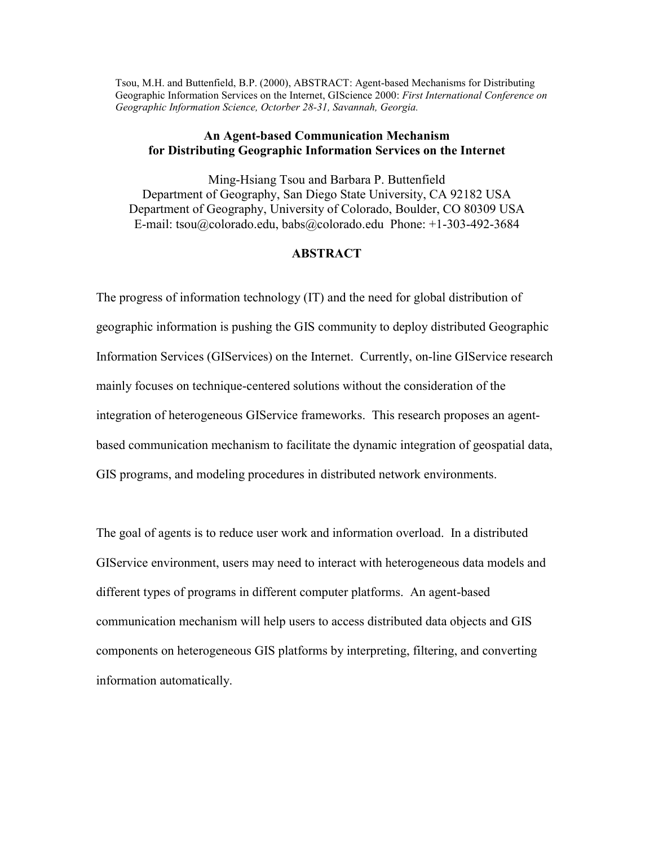Tsou, M.H. and Buttenfield, B.P. (2000), ABSTRACT: Agent-based Mechanisms for Distributing Geographic Information Services on the Internet, GIScience 2000: *First International Conference on Geographic Information Science, Octorber 28-31, Savannah, Georgia.*

## **An Agent-based Communication Mechanism for Distributing Geographic Information Services on the Internet**

Ming-Hsiang Tsou and Barbara P. Buttenfield Department of Geography, San Diego State University, CA 92182 USA Department of Geography, University of Colorado, Boulder, CO 80309 USA E-mail: tsou@colorado.edu, babs@colorado.edu Phone: +1-303-492-3684

## **ABSTRACT**

The progress of information technology (IT) and the need for global distribution of geographic information is pushing the GIS community to deploy distributed Geographic Information Services (GIServices) on the Internet. Currently, on-line GIService research mainly focuses on technique-centered solutions without the consideration of the integration of heterogeneous GIService frameworks. This research proposes an agentbased communication mechanism to facilitate the dynamic integration of geospatial data, GIS programs, and modeling procedures in distributed network environments.

The goal of agents is to reduce user work and information overload. In a distributed GIService environment, users may need to interact with heterogeneous data models and different types of programs in different computer platforms. An agent-based communication mechanism will help users to access distributed data objects and GIS components on heterogeneous GIS platforms by interpreting, filtering, and converting information automatically.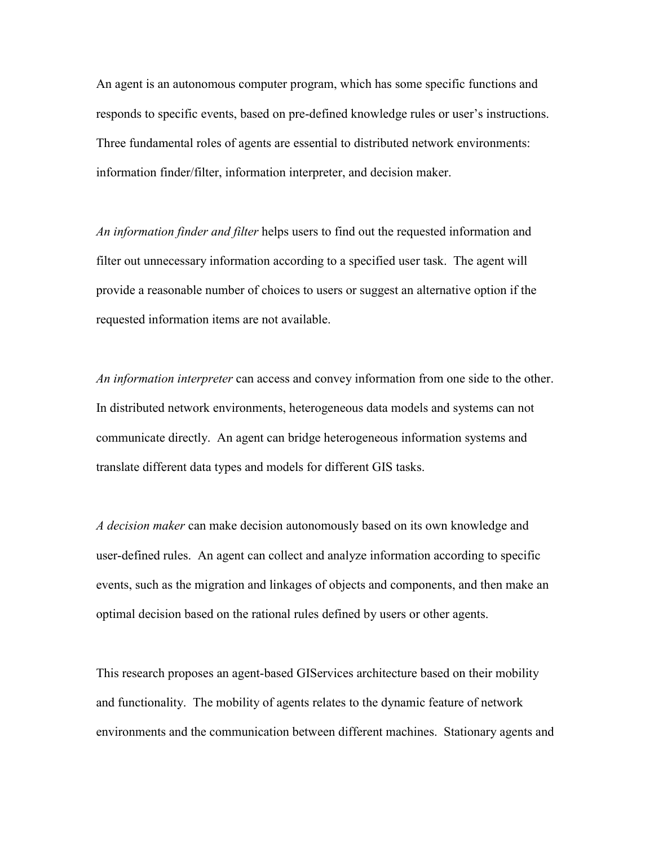An agent is an autonomous computer program, which has some specific functions and responds to specific events, based on pre-defined knowledge rules or user's instructions. Three fundamental roles of agents are essential to distributed network environments: information finder/filter, information interpreter, and decision maker.

*An information finder and filter* helps users to find out the requested information and filter out unnecessary information according to a specified user task. The agent will provide a reasonable number of choices to users or suggest an alternative option if the requested information items are not available.

*An information interpreter* can access and convey information from one side to the other. In distributed network environments, heterogeneous data models and systems can not communicate directly. An agent can bridge heterogeneous information systems and translate different data types and models for different GIS tasks.

*A decision maker* can make decision autonomously based on its own knowledge and user-defined rules. An agent can collect and analyze information according to specific events, such as the migration and linkages of objects and components, and then make an optimal decision based on the rational rules defined by users or other agents.

This research proposes an agent-based GIServices architecture based on their mobility and functionality. The mobility of agents relates to the dynamic feature of network environments and the communication between different machines. Stationary agents and